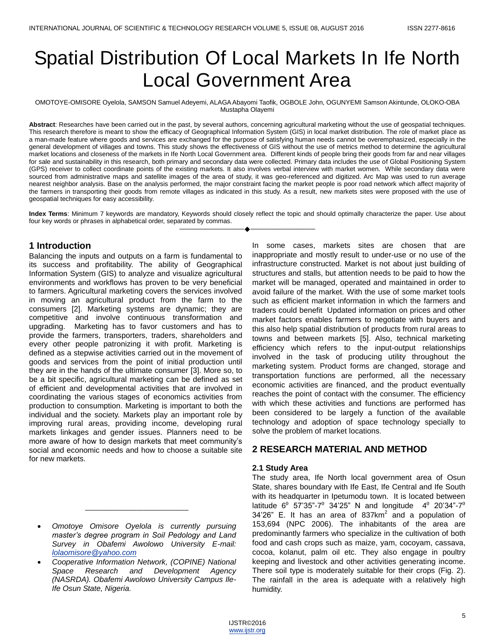# Spatial Distribution Of Local Markets In Ife North Local Government Area

OMOTOYE-OMISORE Oyelola, SAMSON Samuel Adeyemi, ALAGAAbayomi Taofik, OGBOLE John, OGUNYEMI Samson Akintunde, OLOKO-OBA Mustapha Olayemi

**Abstract**: Researches have been carried out in the past, by several authors, concerning agricultural marketing without the use of geospatial techniques. This research therefore is meant to show the efficacy of Geographical Information System (GIS) in local market distribution. The role of market place as a man-made feature where goods and services are exchanged for the purpose of satisfying human needs cannot be overemphasized, especially in the general development of villages and towns. This study shows the effectiveness of GIS without the use of metrics method to determine the agricultural market locations and closeness of the markets in Ife North Local Government area. Different kinds of people bring their goods from far and near villages for sale and sustainability in this research, both primary and secondary data were collected. Primary data includes the use of Global Positioning System (GPS) receiver to collect coordinate points of the existing markets. It also involves verbal interview with market women. While secondary data were sourced from administrative maps and satellite images of the area of study, it was geo-referenced and digitized. Arc Map was used to run average nearest neighbor analysis. Base on the analysis performed, the major constraint facing the market people is poor road network which affect majority of the farmers in transporting their goods from remote villages as indicated in this study. As a result, new markets sites were proposed with the use of geospatial techniques for easy accessibility.

**Index Terms**: Minimum 7 keywords are mandatory, Keywords should closely reflect the topic and should optimally characterize the paper. Use about four key words or phrases in alphabetical order, separated by commas. ————————————————————

### **1 Introduction**

Balancing the inputs and outputs on a farm is fundamental to its success and profitability. The ability of Geographical Information System (GIS) to analyze and visualize agricultural environments and workflows has proven to be very beneficial to farmers. Agricultural marketing covers the services involved in moving an agricultural product from the farm to the consumers [2]. Marketing systems are dynamic; they are competitive and involve continuous transformation and upgrading. Marketing has to favor customers and has to provide the farmers, transporters, traders, shareholders and every other people patronizing it with profit. Marketing is defined as a stepwise activities carried out in the movement of goods and services from the point of initial production until they are in the hands of the ultimate consumer [3]. More so, to be a bit specific, agricultural marketing can be defined as set of efficient and developmental activities that are involved in coordinating the various stages of economics activities from production to consumption. Marketing is important to both the individual and the society. Markets play an important role by improving rural areas, providing income, developing rural markets linkages and gender issues. Planners need to be more aware of how to design markets that meet community's social and economic needs and how to choose a suitable site for new markets.

————————————————

In some cases, markets sites are chosen that are inappropriate and mostly result to under-use or no use of the infrastructure constructed. Market is not about just building of structures and stalls, but attention needs to be paid to how the market will be managed, operated and maintained in order to avoid failure of the market. With the use of some market tools such as efficient market information in which the farmers and traders could benefit Updated information on prices and other market factors enables farmers to negotiate with buyers and this also help spatial distribution of products from rural areas to towns and between markets [5]. Also, technical marketing efficiency which refers to the input-output relationships involved in the task of producing utility throughout the marketing system. Product forms are changed, storage and transportation functions are performed, all the necessary economic activities are financed, and the product eventually reaches the point of contact with the consumer. The efficiency with which these activities and functions are performed has been considered to be largely a function of the available technology and adoption of space technology specially to solve the problem of market locations.

## **2 RESEARCH MATERIAL AND METHOD**

#### **2.1 Study Area**

The study area, Ife North local government area of Osun State, shares boundary with Ife East, Ife Central and Ife South with its headquarter in Ipetumodu town. It is located between latitude 6<sup>0</sup> 57'35"-7<sup>0</sup> 34'25" N and longitude 4<sup>0</sup> 20'34"-7<sup>0</sup> 34'26" E. It has an area of 837 $km^2$  and a population of 153,694 (NPC 2006). The inhabitants of the area are predominantly farmers who specialize in the cultivation of both food and cash crops such as maize, yam, cocoyam, cassava, cocoa, kolanut, palm oil etc. They also engage in poultry keeping and livestock and other activities generating income. There soil type is moderately suitable for their crops (Fig. 2). The rainfall in the area is adequate with a relatively high humidity.

*Omotoye Omisore Oyelola is currently pursuing master's degree program in Soil Pedology and Land Survey in Obafemi Awolowo University E-mail: [lolaomisore@yahoo.com](mailto:lolaomisore@yahoo.com)*

*Cooperative Information Network, (COPINE) National Space Research and Development Agency (NASRDA). Obafemi Awolowo University Campus Ile-Ife Osun State, Nigeria.*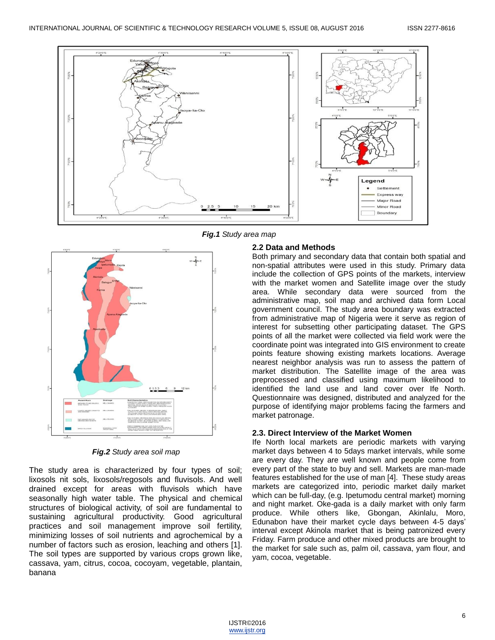

∔ ININ RED DR OKRODLATE BROW<br>JNFORM PROFA E TO DEPTHIS IN<br>HUSERP BLOPES: VERY SHALLOW

*Fig.2 Study area soil map*

The study area is characterized by four types of soil; lixosols nit sols, lixosols/regosols and fluvisols. And well drained except for areas with fluvisols which have seasonally high water table. The physical and chemical structures of biological activity, of soil are fundamental to sustaining agricultural productivity. Good agricultural practices and soil management improve soil fertility, minimizing losses of soil nutrients and agrochemical by a number of factors such as erosion, leaching and others [1]. The soil types are supported by various crops grown like, cassava, yam, citrus, cocoa, cocoyam, vegetable, plantain, banana

*Fig.1 Study area map*

#### **2.2 Data and Methods**

Both primary and secondary data that contain both spatial and non-spatial attributes were used in this study. Primary data include the collection of GPS points of the markets, interview with the market women and Satellite image over the study area. While secondary data were sourced from the administrative map, soil map and archived data form Local government council. The study area boundary was extracted from administrative map of Nigeria were it serve as region of interest for subsetting other participating dataset. The GPS points of all the market were collected via field work were the coordinate point was integrated into GIS environment to create points feature showing existing markets locations. Average nearest neighbor analysis was run to assess the pattern of market distribution. The Satellite image of the area was preprocessed and classified using maximum likelihood to identified the land use and land cover over Ife North. Questionnaire was designed, distributed and analyzed for the purpose of identifying major problems facing the farmers and market patronage.

#### **2.3. Direct Interview of the Market Women**

Ife North local markets are periodic markets with varying market days between 4 to 5days market intervals, while some are every day. They are well known and people come from every part of the state to buy and sell. Markets are man-made features established for the use of man [4]. These study areas markets are categorized into, periodic market daily market which can be full-day, (e.g. Ipetumodu central market) morning and night market. Oke-gada is a daily market with only farm produce. While others like, Gbongan, Akinlalu, Moro, Edunabon have their market cycle days between 4-5 days' interval except Akinola market that is being patronized every Friday. Farm produce and other mixed products are brought to the market for sale such as, palm oil, cassava, yam flour, and yam, cocoa, vegetable.

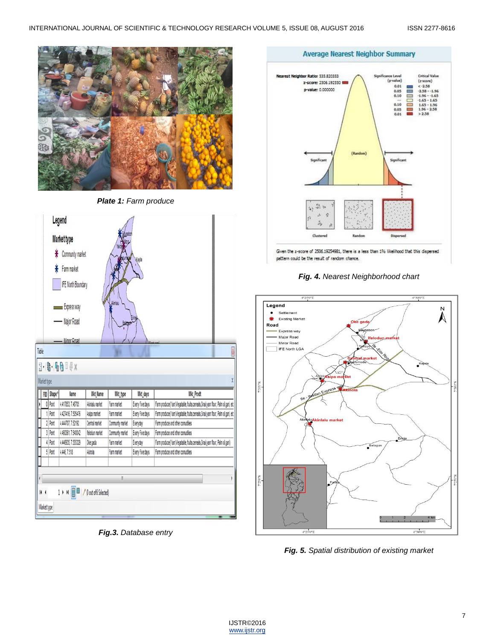

*Plate 1: Farm produce*



*Fig.3. Database entry*

#### **Average Nearest Neighbor Summary**



Given the z-score of 2506.19254981, there is a less than 1% likelihood that this dispersed pattern could be the result of random chance.

#### *Fig. 4. Nearest Neighborhood chart*





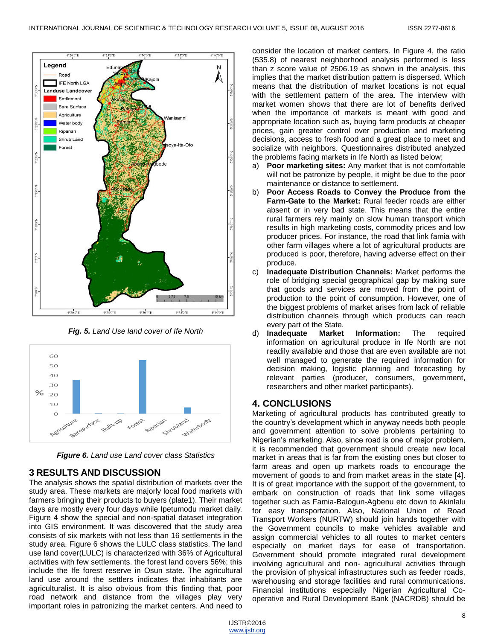

*Fig. 5. Land Use land cover of Ife North*



*Figure 6. Land use Land cover class Statistics*

# **3 RESULTS AND DISCUSSION**

The analysis shows the spatial distribution of markets over the study area. These markets are majorly local food markets with farmers bringing their products to buyers (plate1). Their market days are mostly every four days while Ipetumodu market daily. Figure 4 show the special and non-spatial dataset integration into GIS environment. It was discovered that the study area consists of six markets with not less than 16 settlements in the study area. Figure 6 shows the LULC class statistics. The land use land cover(LULC) is characterized with 36% of Agricultural activities with few settlements. the forest land covers 56%; this include the Ife forest reserve in Osun state. The agricultural land use around the settlers indicates that inhabitants are agriculturalist. It is also obvious from this finding that, poor road network and distance from the villages play very important roles in patronizing the market centers. And need to

consider the location of market centers. In Figure 4, the ratio (535.8) of nearest neighborhood analysis performed is less than z score value of 2506.19 as shown in the analysis. this implies that the market distribution pattern is dispersed. Which means that the distribution of market locations is not equal with the settlement pattern of the area. The interview with market women shows that there are lot of benefits derived when the importance of markets is meant with good and appropriate location such as, buying farm products at cheaper prices, gain greater control over production and marketing decisions, access to fresh food and a great place to meet and socialize with neighbors. Questionnaires distributed analyzed the problems facing markets in Ife North as listed below;

- a) **Poor marketing sites:** Any market that is not comfortable will not be patronize by people, it might be due to the poor maintenance or distance to settlement.
- b) **Poor Access Roads to Convey the Produce from the Farm-Gate to the Market:** Rural feeder roads are either absent or in very bad state. This means that the entire rural farmers rely mainly on slow human transport which results in high marketing costs, commodity prices and low producer prices. For instance, the road that link famia with other farm villages where a lot of agricultural products are produced is poor, therefore, having adverse effect on their produce.
- c) **Inadequate Distribution Channels:** Market performs the role of bridging special geographical gap by making sure that goods and services are moved from the point of production to the point of consumption. However, one of the biggest problems of market arises from lack of reliable distribution channels through which products can reach every part of the State.
- d) **Inadequate Market Information:** The required information on agricultural produce in Ife North are not readily available and those that are even available are not well managed to generate the required information for decision making, logistic planning and forecasting by relevant parties (producer, consumers, government, researchers and other market participants).

## **4. CONCLUSIONS**

Marketing of agricultural products has contributed greatly to the country's development which in anyway needs both people and government attention to solve problems pertaining to Nigerian's marketing. Also, since road is one of major problem, it is recommended that government should create new local market in areas that is far from the existing ones but closer to farm areas and open up markets roads to encourage the movement of goods to and from market areas in the state [4]. It is of great importance with the support of the government, to embark on construction of roads that link some villages together such as Famia-Balogun-Agbenu etc down to Akinlalu for easy transportation. Also, National Union of Road Transport Workers (NURTW) should join hands together with the Government councils to make vehicles available and assign commercial vehicles to all routes to market centers especially on market days for ease of transportation. Government should promote integrated rural development involving agricultural and non- agricultural activities through the provision of physical infrastructures such as feeder roads, warehousing and storage facilities and rural communications. Financial institutions especially Nigerian Agricultural Cooperative and Rural Development Bank (NACRDB) should be